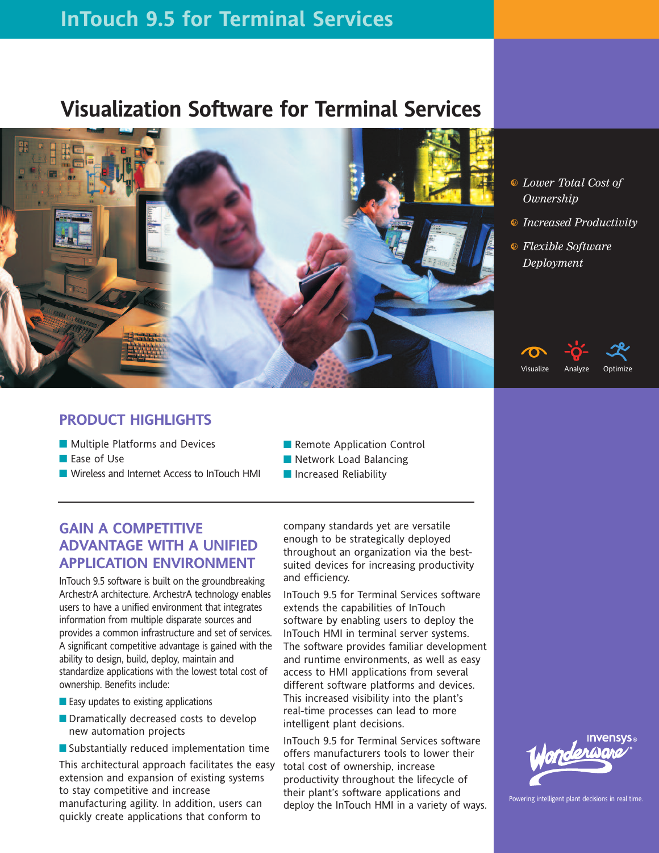# **InTouch 9.5 for Terminal Services**

# **Visualization Software for Terminal Services**



- b *Lower Total Cost of Ownership*
- b *Increased Productivity*
- b *Flexible Software Deployment*

## **PRODUCT HIGHLIGHTS**

- Multiple Platforms and Devices
- Ease of Use
- Wireless and Internet Access to InTouch HMI
- Remote Application Control
- Network Load Balancing
- Increased Reliability

# **GAIN A COMPETITIVE ADVANTAGE WITH A UNIFIED APPLICATION ENVIRONMENT**

InTouch 9.5 software is built on the groundbreaking ArchestrA architecture. ArchestrA technology enables users to have a unified environment that integrates information from multiple disparate sources and provides a common infrastructure and set of services. A significant competitive advantage is gained with the ability to design, build, deploy, maintain and standardize applications with the lowest total cost of ownership. Benefits include:

- Easy updates to existing applications
- Dramatically decreased costs to develop new automation projects
- Substantially reduced implementation time

This architectural approach facilitates the easy extension and expansion of existing systems to stay competitive and increase manufacturing agility. In addition, users can quickly create applications that conform to

company standards yet are versatile enough to be strategically deployed throughout an organization via the bestsuited devices for increasing productivity and efficiency.

InTouch 9.5 for Terminal Services software extends the capabilities of InTouch software by enabling users to deploy the InTouch HMI in terminal server systems. The software provides familiar development and runtime environments, as well as easy access to HMI applications from several different software platforms and devices. This increased visibility into the plant's real-time processes can lead to more intelligent plant decisions.

InTouch 9.5 for Terminal Services software offers manufacturers tools to lower their total cost of ownership, increase productivity throughout the lifecycle of their plant's software applications and deploy the InTouch HMI in a variety of ways.





Powering intelligent plant decisions in real time.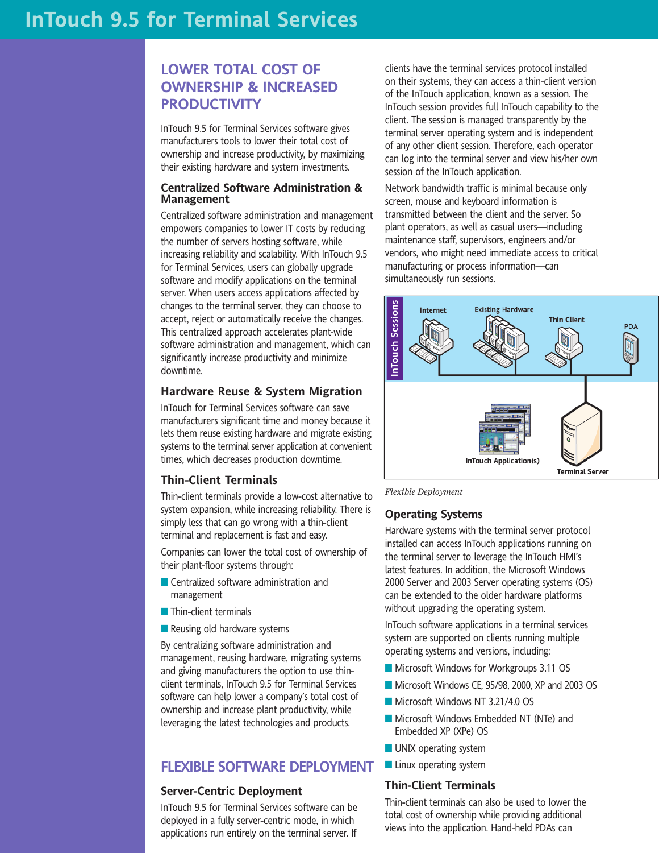# **LOWER TOTAL COST OF OWNERSHIP & INCREASED PRODUCTIVITY**

InTouch 9.5 for Terminal Services software gives manufacturers tools to lower their total cost of ownership and increase productivity, by maximizing their existing hardware and system investments.

#### **Centralized Software Administration & Management**

Centralized software administration and management empowers companies to lower IT costs by reducing the number of servers hosting software, while increasing reliability and scalability. With InTouch 9.5 for Terminal Services, users can globally upgrade software and modify applications on the terminal server. When users access applications affected by changes to the terminal server, they can choose to accept, reject or automatically receive the changes. This centralized approach accelerates plant-wide software administration and management, which can significantly increase productivity and minimize downtime.

## **Hardware Reuse & System Migration**

InTouch for Terminal Services software can save manufacturers significant time and money because it lets them reuse existing hardware and migrate existing systems to the terminal server application at convenient times, which decreases production downtime.

#### **Thin-Client Terminals**

Thin-client terminals provide a low-cost alternative to system expansion, while increasing reliability. There is simply less that can go wrong with a thin-client terminal and replacement is fast and easy.

Companies can lower the total cost of ownership of their plant-floor systems through:

- Centralized software administration and management
- Thin-client terminals
- Reusing old hardware systems

By centralizing software administration and management, reusing hardware, migrating systems and giving manufacturers the option to use thinclient terminals, InTouch 9.5 for Terminal Services software can help lower a company's total cost of ownership and increase plant productivity, while leveraging the latest technologies and products.

## **FLEXIBLE SOFTWARE DEPLOYMENT**

#### **Server-Centric Deployment**

InTouch 9.5 for Terminal Services software can be deployed in a fully server-centric mode, in which applications run entirely on the terminal server. If

clients have the terminal services protocol installed on their systems, they can access a thin-client version of the InTouch application, known as a session. The InTouch session provides full InTouch capability to the client. The session is managed transparently by the terminal server operating system and is independent of any other client session. Therefore, each operator can log into the terminal server and view his/her own session of the InTouch application.

Network bandwidth traffic is minimal because only screen, mouse and keyboard information is transmitted between the client and the server. So plant operators, as well as casual users—including maintenance staff, supervisors, engineers and/or vendors, who might need immediate access to critical manufacturing or process information—can simultaneously run sessions.



*Flexible Deployment*

## **Operating Systems**

Hardware systems with the terminal server protocol installed can access InTouch applications running on the terminal server to leverage the InTouch HMI's latest features. In addition, the Microsoft Windows 2000 Server and 2003 Server operating systems (OS) can be extended to the older hardware platforms without upgrading the operating system.

InTouch software applications in a terminal services system are supported on clients running multiple operating systems and versions, including:

- Microsoft Windows for Workgroups 3.11 OS
- Microsoft Windows CE, 95/98, 2000, XP and 2003 OS
- Microsoft Windows NT 3.21/4.0 OS
- Microsoft Windows Embedded NT (NTe) and Embedded XP (XPe) OS
- UNIX operating system
- Linux operating system

### **Thin-Client Terminals**

Thin-client terminals can also be used to lower the total cost of ownership while providing additional views into the application. Hand-held PDAs can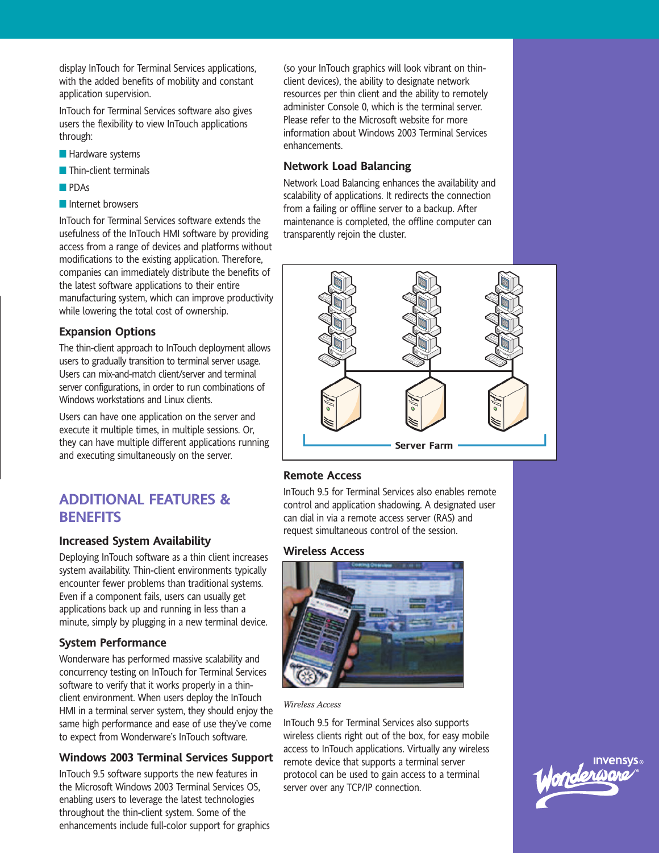display InTouch for Terminal Services applications, with the added benefits of mobility and constant application supervision.

InTouch for Terminal Services software also gives users the flexibility to view InTouch applications through:

- Hardware systems
- Thin-client terminals
- PDAs
- Internet browsers

InTouch for Terminal Services software extends the usefulness of the InTouch HMI software by providing access from a range of devices and platforms without modifications to the existing application. Therefore, companies can immediately distribute the benefits of the latest software applications to their entire manufacturing system, which can improve productivity while lowering the total cost of ownership.

## **Expansion Options**

The thin-client approach to InTouch deployment allows users to gradually transition to terminal server usage. Users can mix-and-match client/server and terminal server configurations, in order to run combinations of Windows workstations and Linux clients.

Users can have one application on the server and execute it multiple times, in multiple sessions. Or, they can have multiple different applications running and executing simultaneously on the server.

## **ADDITIONAL FEATURES & BENEFITS**

## **Increased System Availability**

Deploying InTouch software as a thin client increases system availability. Thin-client environments typically encounter fewer problems than traditional systems. Even if a component fails, users can usually get applications back up and running in less than a minute, simply by plugging in a new terminal device.

## **System Performance**

Wonderware has performed massive scalability and concurrency testing on InTouch for Terminal Services software to verify that it works properly in a thinclient environment. When users deploy the InTouch HMI in a terminal server system, they should enjoy the same high performance and ease of use they've come to expect from Wonderware's InTouch software.

## **Windows 2003 Terminal Services Support**

InTouch 9.5 software supports the new features in the Microsoft Windows 2003 Terminal Services OS, enabling users to leverage the latest technologies throughout the thin-client system. Some of the enhancements include full-color support for graphics (so your InTouch graphics will look vibrant on thinclient devices), the ability to designate network resources per thin client and the ability to remotely administer Console 0, which is the terminal server. Please refer to the Microsoft website for more information about Windows 2003 Terminal Services enhancements.

## **Network Load Balancing**

Network Load Balancing enhances the availability and scalability of applications. It redirects the connection from a failing or offline server to a backup. After maintenance is completed, the offline computer can transparently rejoin the cluster.



## **Remote Access**

InTouch 9.5 for Terminal Services also enables remote control and application shadowing. A designated user can dial in via a remote access server (RAS) and request simultaneous control of the session.

## **Wireless Access**



*Wireless Access*

InTouch 9.5 for Terminal Services also supports wireless clients right out of the box, for easy mobile access to InTouch applications. Virtually any wireless remote device that supports a terminal server protocol can be used to gain access to a terminal server over any TCP/IP connection.